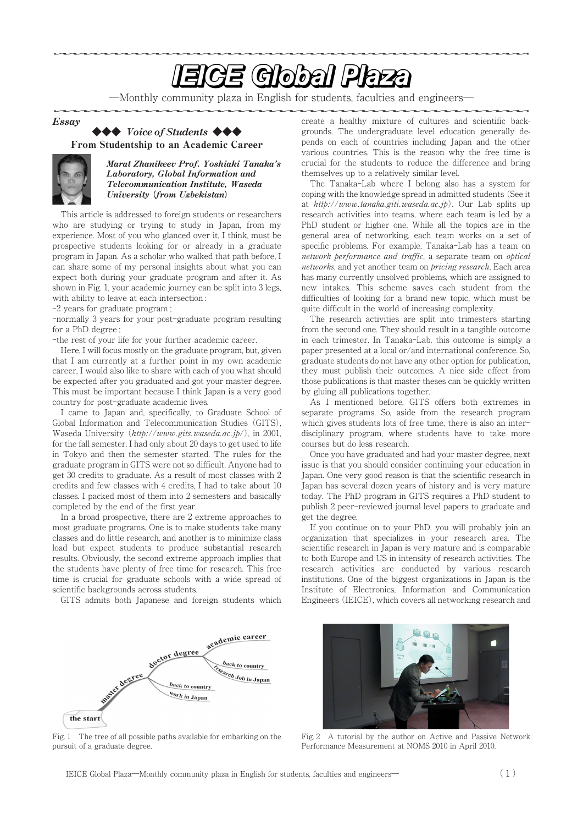# <u>In the second contract of the second second second second second second second second second second second second second second second second second second second second second second second second second second second se</u>

―Monthly community plaza in English for students, faculties and engineers―

Essay

# **◆◆◆** Voice of Students **◆◆◆**

From Studentship to an Academic Career



Marat Zhanikeev Prof. Yoshiaki Tanaka's Laboratory, Global Information and Telecommunication Institute, Waseda University **(**from Uzbekistan**)**

This article is addressed to foreign students or researchers who are studying or trying to study in Japan, from my experience. Most of you who glanced over it, I think, must be prospective students looking for or already in a graduate program in Japan. As a scholar who walked that path before, I can share some of my personal insights about what you can expect both during your graduate program and after it. As shown in Fig. 1, your academic journey can be split into 3 legs, with ability to leave at each intersection :

-2 years for graduate program ;

-normally 3 years for your post-graduate program resulting for a PhD degree ;

-the rest of your life for your further academic career.

Here, I will focus mostly on the graduate program, but, given that I am currently at a further point in my own academic career, I would also like to share with each of you what should be expected after you graduated and got your master degree. This must be important because I think Japan is a very good country for post-graduate academic lives.

I came to Japan and, specifically, to Graduate School of Global Information and Telecommunication Studies (GITS), Waseda University (http://www.gits.waseda.ac.jp/), in 2001, for the fall semester. I had only about 20 days to get used to life in Tokyo and then the semester started. The rules for the graduate program in GITS were not so difficult. Anyone had to get 30 credits to graduate. As a result of most classes with 2 credits and few classes with 4 credits, I had to take about 10 classes. I packed most of them into 2 semesters and basically completed by the end of the first year.

In a broad prospective, there are 2 extreme approaches to most graduate programs. One is to make students take many classes and do little research, and another is to minimize class load but expect students to produce substantial research results. Obviously, the second extreme approach implies that the students have plenty of free time for research. This free time is crucial for graduate schools with a wide spread of scientific backgrounds across students.

GITS admits both Japanese and foreign students which

academic career doctor degree back to country degree search Job in Japan back to country **Work in Japan** the start

Fig. 1 The tree of all possible paths available for embarking on the pursuit of a graduate degree.

create a healthy mixture of cultures and scientific backgrounds. The undergraduate level education generally depends on each of countries including Japan and the other various countries. This is the reason why the free time is crucial for the students to reduce the difference and bring themselves up to a relatively similar level.

The Tanaka-Lab where I belong also has a system for coping with the knowledge spread in admitted students (See it at http://www.tanaka.giti.waseda.ac.jp). Our Lab splits up research activities into teams, where each team is led by a PhD student or higher one. While all the topics are in the general area of networking, each team works on a set of specific problems. For example, Tanaka-Lab has a team on network performance and traffic, a separate team on optical networks, and yet another team on *bricing research*. Each area has many currently unsolved problems, which are assigned to new intakes. This scheme saves each student from the difficulties of looking for a brand new topic, which must be quite difficult in the world of increasing complexity.

The research activities are split into trimesters starting from the second one. They should result in a tangible outcome in each trimester. In Tanaka-Lab, this outcome is simply a paper presented at a local or/and international conference. So, graduate students do not have any other option for publication, they must publish their outcomes. A nice side effect from those publications is that master theses can be quickly written by gluing all publications together.

As I mentioned before, GITS offers both extremes in separate programs. So, aside from the research program which gives students lots of free time, there is also an interdisciplinary program, where students have to take more courses but do less research.

Once you have graduated and had your master degree, next issue is that you should consider continuing your education in Japan. One very good reason is that the scientific research in Japan has several dozen years of history and is very mature today. The PhD program in GITS requires a PhD student to publish 2 peer-reviewed journal level papers to graduate and get the degree.

If you continue on to your PhD, you will probably join an organization that specializes in your research area. The scientific research in Japan is very mature and is comparable to both Europe and US in intensity of research activities. The research activities are conducted by various research institutions. One of the biggest organizations in Japan is the Institute of Electronics, Information and Communication Engineers (IEICE), which covers all networking research and



Fig. ? A tutorial by the author on Active and Passive Network Performance Measurement at NOMS 2010 in April 2010.